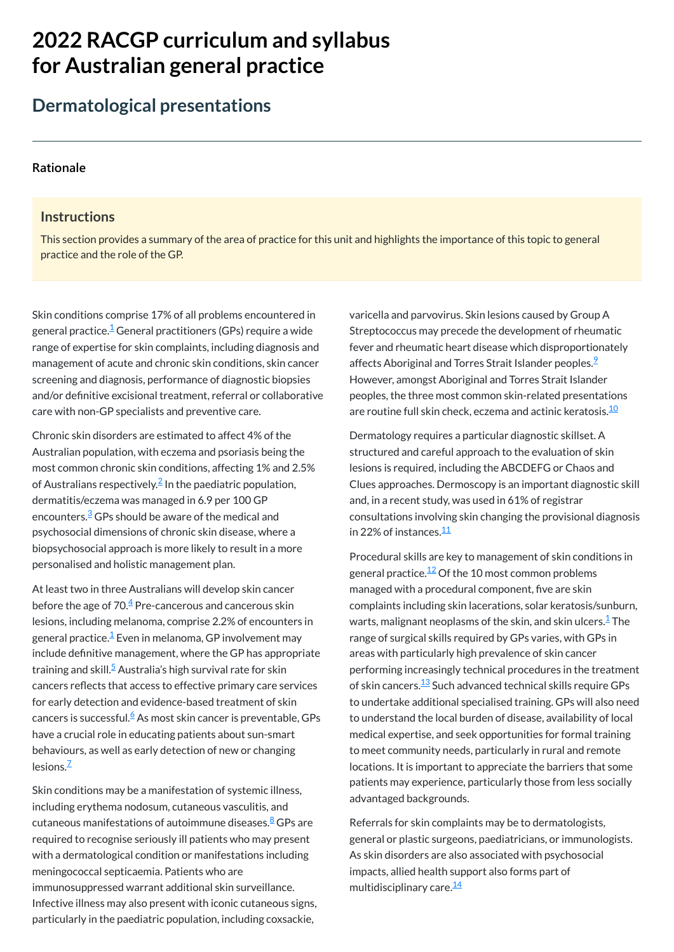# **2022 RACGP curriculum and syllabus for Australian [general practice](https://www.racgp.org.au/Curriculum-and-Syllabus/home)**

# **Dermatological presentations**

### **[Rationale](javascript:void(0))**

### **Instructions**

This section provides a summary of the area of practice for this unit and highlights the importance of this topic to general practice and the role of the GP.

Skin conditions comprise 17% of all problems encountered in general practice. $^{\underline{1}}$  $^{\underline{1}}$  $^{\underline{1}}$  General practitioners (GPs) require a wide range of expertise for skin complaints, including diagnosis and management of acute and chronic skin conditions, skin cancer screening and diagnosis, performance of diagnostic biopsies and/or definitive excisional treatment, referral or collaborative care with non-GP specialists and preventive care.

At least two in three Australians will develop skin cancer before the age of 70. $\rm \frac{4}{3}$  $\rm \frac{4}{3}$  $\rm \frac{4}{3}$  Pre-cancerous and cancerous skin lesions, including melanoma, comprise 2.2% of encounters in general practice.<sup>[1](#page-1-0)</sup> Even in melanoma, GP involvement may include definitive management, where the GP has appropriate training and skill.<sup>[5](#page-1-4)</sup> Australia's high survival rate for skin cancers reflects that access to effective primary care services for early detection and evidence-based treatment of skin cancers is successful.<sup>[6](#page-1-5)</sup> As most skin cancer is preventable, GPs

have a crucial role in educating patients about sun-smart behaviours, as well as early detection of new or changing lesions.<sup>[7](#page-1-6)</sup>

Chronic skin disorders are estimated to affect 4% of the Australian population, with eczema and psoriasis being the most common chronic skin conditions, affecting 1% and 2.5% of Australians respectively. $^{2}$  $^{2}$  $^{2}$  In the paediatric population, dermatitis/eczema was managed in 6.9 per 100 GP encounters. $\frac{3}{5}$  $\frac{3}{5}$  $\frac{3}{5}$ GPs should be aware of the medical and psychosocial dimensions of chronic skin disease, where a biopsychosocial approach is more likely to result in a more personalised and holistic management plan.

varicella and parvovirus. Skin lesions caused by Group A Streptococcus may precede the development of rheumatic fever and rheumatic heart disease which disproportionately affects Aboriginal and Torres Strait Islander peoples.<sup>2</sup> However, amongst Aboriginal and Torres Strait Islander peoples, the three most common skin-related presentations are routine full skin check, eczema and actinic keratosis. $^{\underline{10}}$  $^{\underline{10}}$  $^{\underline{10}}$ 

Dermatology requires a particular diagnostic skillset. A structured and careful approach to the evaluation of skin lesions is required, including the ABCDEFG or Chaos and Clues approaches. Dermoscopy is an important diagnostic skill and, in a recent study, was used in 61% of registrar consultations involving skin changing the provisional diagnosis in 22% of instances.<sup>[11](#page-1-10)</sup>

Referrals for skin complaints may be to dermatologists, general or plastic surgeons, paediatricians, or immunologists. As skin disorders are also associated with psychosocial impacts, allied health support also forms part of multidisciplinary care.<sup>[14](#page-1-13)</sup>

Skin conditions may be a manifestation of systemic illness, including erythema nodosum, cutaneous vasculitis, and cutaneous manifestations of autoimmune diseases.<sup>[8](#page-1-7)</sup> GPs are required to recognise seriously ill patients who may present with a dermatological condition or manifestations including meningococcal septicaemia. Patients who are immunosuppressed warrant additional skin surveillance. Infective illness may also present with iconic cutaneous signs, particularly in the paediatric population, including coxsackie,

Procedural skills are key to management of skin conditions in general practice. $^{12}$  $^{12}$  $^{12}$  Of the 10 most common problems managed with a procedural component, five are skin complaints including skin lacerations, solar keratosis/sunburn, warts, malignant neoplasms of the skin, and skin ulcers. $^\mathsf{1}\mathsf{The}$  $^\mathsf{1}\mathsf{The}$  $^\mathsf{1}\mathsf{The}$ range of surgical skills required by GPs varies, with GPs in areas with particularly high prevalence of skin cancer performing increasingly technical procedures in the treatment of skin cancers. $^{\underline{13}}$  $^{\underline{13}}$  $^{\underline{13}}$  Such advanced technical skills require GPs to undertake additional specialised training. GPs will also need to understand the local burden of disease, availability of local medical expertise, and seek opportunities for formal training to meet community needs, particularly in rural and remote locations. It is important to appreciate the barriers that some patients may experience, particularly those from less socially advantaged backgrounds.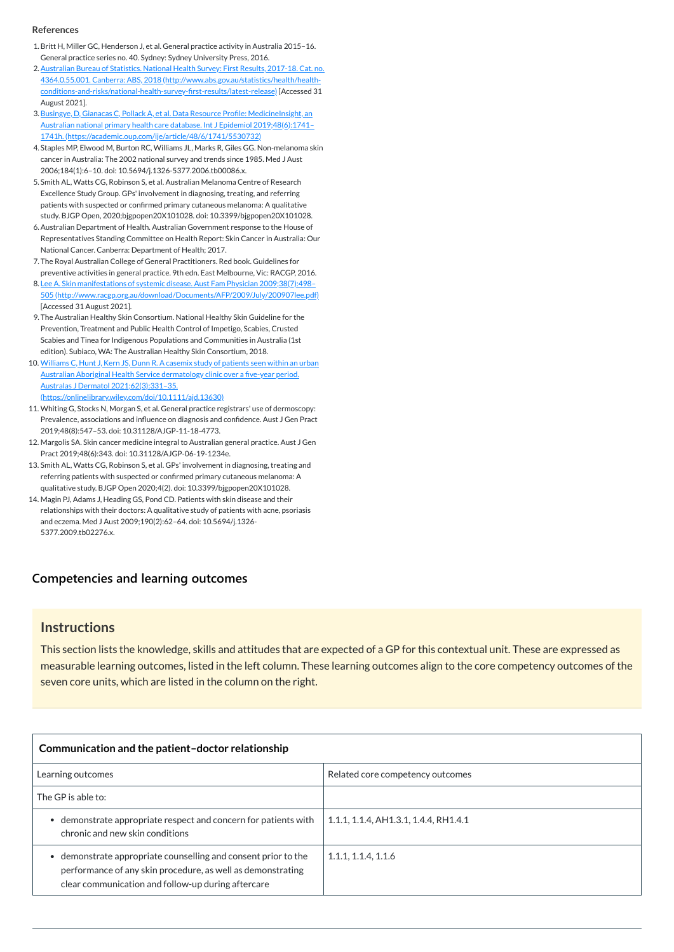### **[Competencies and learning outcomes](javascript:void(0))**

### **Instructions**

This section lists the knowledge, skills and attitudes that are expected of a GP for this contextual unit. These are expressed as measurable learning outcomes, listed in the left column. These learning outcomes align to the core competency outcomes of the seven core units, which are listed in the column on the right.

| Communication and the patient-doctor relationship                                                                                                                                 |                                       |  |
|-----------------------------------------------------------------------------------------------------------------------------------------------------------------------------------|---------------------------------------|--|
| Learning outcomes                                                                                                                                                                 | Related core competency outcomes      |  |
| The GP is able to:                                                                                                                                                                |                                       |  |
| demonstrate appropriate respect and concern for patients with<br>chronic and new skin conditions                                                                                  | 1.1.1, 1.1.4, AH1.3.1, 1.4.4, RH1.4.1 |  |
| demonstrate appropriate counselling and consent prior to the<br>performance of any skin procedure, as well as demonstrating<br>clear communication and follow-up during aftercare | 1.1.1, 1.1.4, 1.1.6                   |  |

#### **References**

- <span id="page-1-0"></span>1.Britt H, Miller GC, Henderson J, et al. General practice activity in Australia 2015–16. General practice series no. 40. Sydney: Sydney University Press, 2016.
- <span id="page-1-1"></span>2. Australian Bureau of Statistics. National Health Survey: First Results, 2017-18. Cat. no. 4364.0.55.001. Canberra: ABS, 2018 (http://www.abs.gov.au/statistics/health/health[conditions-and-risks/national-health-survey-first-results/latest-release\)](http://www.abs.gov.au/statistics/health/health-conditions-and-risks/national-health-survey-first-results/latest-release) [Accessed 31 August 2021].
- <span id="page-1-2"></span>3. Busingye, D, Gianacas C, Pollack A, et al. Data Resource Profile: MedicineInsight, an Australian national primary health care database. Int J Epidemiol 2019;48(6):1741– 1741h. [\(https://academic.oup.com/ije/article/48/6/1741/5530732\)](https://academic.oup.com/ije/article/48/6/1741/5530732)
- <span id="page-1-3"></span>4. Staples MP, Elwood M, Burton RC, Williams JL, Marks R, Giles GG. Non-melanoma skin cancer in Australia: The 2002 national survey and trends since 1985. Med J Aust 2006;184(1):6–10. doi: 10.5694/j.1326-5377.2006.tb00086.x.
- <span id="page-1-4"></span>5. Smith AL, Watts CG, Robinson S, et al. Australian Melanoma Centre of Research Excellence Study Group. GPs' involvement in diagnosing, treating, and referring patients with suspected or confirmed primary cutaneous melanoma: A qualitative study. BJGP Open, 2020;bjgpopen20X101028. doi: 10.3399/bjgpopen20X101028.
- <span id="page-1-5"></span>6.Australian Department of Health. Australian Government response to the House of Representatives Standing Committee on Health Report: Skin Cancer in Australia: Our National Cancer. Canberra: Department of Health; 2017.
- <span id="page-1-6"></span>7. The Royal Australian College of General Practitioners. Red book. Guidelines for preventive activities in general practice. 9th edn. East Melbourne, Vic: RACGP, 2016.
- <span id="page-1-7"></span>8. Lee A. Skin manifestations of systemic disease. Aust Fam Physician 2009;38(7):498-505 [\(http://www.racgp.org.au/download/Documents/AFP/2009/July/200907lee.pdf\)](http://www.racgp.org.au/download/Documents/AFP/2009/July/200907lee.pdf) [Accessed 31 August 2021].
- <span id="page-1-8"></span>9. The Australian Healthy Skin Consortium. National Healthy Skin Guideline for the Prevention, Treatment and Public Health Control of Impetigo, Scabies, Crusted Scabies and Tinea for Indigenous Populations and Communities in Australia (1st edition). Subiaco, WA: The Australian Healthy Skin Consortium, 2018.
- <span id="page-1-9"></span>10. Williams C, Hunt J, Kern JS, Dunn R. A casemix study of patients seen within an urban Australian Aboriginal Health Service dermatology clinic over a five-year period. Australas J Dermatol 2021;62(3):331–35. [\(https://onlinelibrary.wiley.com/doi/10.1111/ajd.13630\)](https://onlinelibrary.wiley.com/doi/10.1111/ajd.13630)
- <span id="page-1-10"></span>11. Whiting G, Stocks N, Morgan S, et al. General practice registrars' use of dermoscopy: Prevalence, associations and influence on diagnosis and confidence. Aust J Gen Pract 2019;48(8):547–53. doi: 10.31128/AJGP-11-18-4773.
- <span id="page-1-11"></span>12. Margolis SA. Skin cancer medicine integral to Australian general practice. Aust J Gen Pract 2019;48(6):343. doi: 10.31128/AJGP-06-19-1234e.
- <span id="page-1-12"></span>13. Smith AL, Watts CG, Robinson S, et al. GPs' involvement in diagnosing, treating and referring patients with suspected or confirmed primary cutaneous melanoma: A qualitative study. BJGP Open 2020;4(2). doi: 10.3399/bjgpopen20X101028.
- <span id="page-1-13"></span>14. Magin PJ, Adams J, Heading GS, Pond CD. Patients with skin disease and their relationships with their doctors: A qualitative study of patients with acne, psoriasis and eczema. Med J Aust 2009;190(2):62–64. doi: 10.5694/j.1326- 5377.2009.tb02276.x.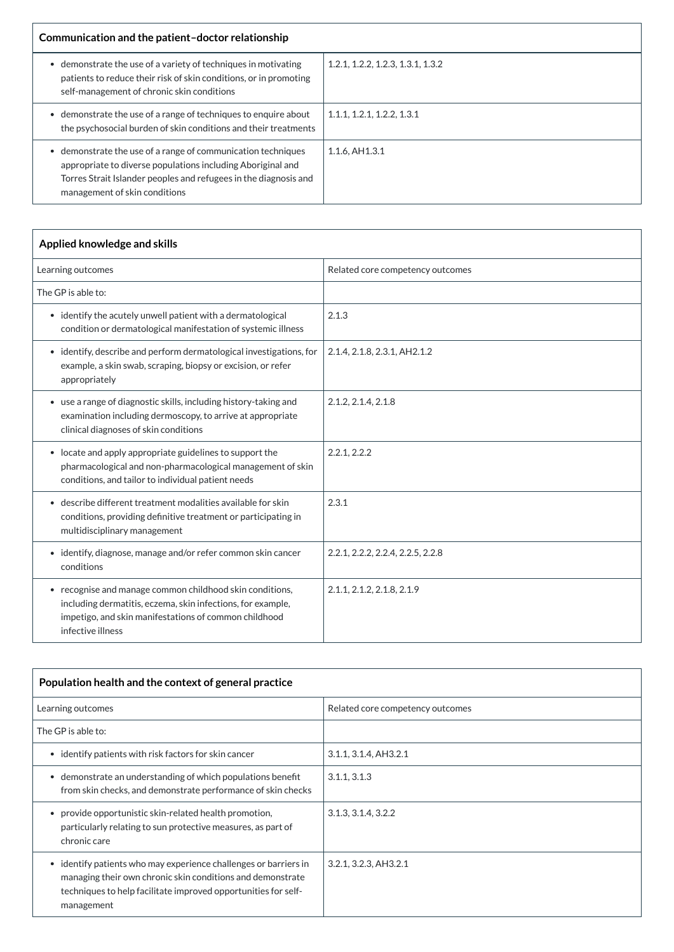| Communication and the patient-doctor relationship                                                                                                                                                                              |                                   |
|--------------------------------------------------------------------------------------------------------------------------------------------------------------------------------------------------------------------------------|-----------------------------------|
| demonstrate the use of a variety of techniques in motivating<br>patients to reduce their risk of skin conditions, or in promoting<br>self-management of chronic skin conditions                                                | 1.2.1, 1.2.2, 1.2.3, 1.3.1, 1.3.2 |
| demonstrate the use of a range of techniques to enquire about<br>the psychosocial burden of skin conditions and their treatments                                                                                               | 1.1.1, 1.2.1, 1.2.2, 1.3.1        |
| demonstrate the use of a range of communication techniques<br>appropriate to diverse populations including Aboriginal and<br>Torres Strait Islander peoples and refugees in the diagnosis and<br>management of skin conditions | 1.1.6, AH1.3.1                    |

| $\mid$ Population health and the context of general practice |                                  |
|--------------------------------------------------------------|----------------------------------|
| Learning outcomes                                            | Related core competency outcomes |

| Applied knowledge and skills                                                                                                                                                                          |                                   |  |
|-------------------------------------------------------------------------------------------------------------------------------------------------------------------------------------------------------|-----------------------------------|--|
| Learning outcomes                                                                                                                                                                                     | Related core competency outcomes  |  |
| The GP is able to:                                                                                                                                                                                    |                                   |  |
| • identify the acutely unwell patient with a dermatological<br>condition or dermatological manifestation of systemic illness                                                                          | 2.1.3                             |  |
| • identify, describe and perform dermatological investigations, for<br>example, a skin swab, scraping, biopsy or excision, or refer<br>appropriately                                                  | 2.1.4, 2.1.8, 2.3.1, AH2.1.2      |  |
| • use a range of diagnostic skills, including history-taking and<br>examination including dermoscopy, to arrive at appropriate<br>clinical diagnoses of skin conditions                               | 2.1.2, 2.1.4, 2.1.8               |  |
| • locate and apply appropriate guidelines to support the<br>pharmacological and non-pharmacological management of skin<br>conditions, and tailor to individual patient needs                          | 2.2.1, 2.2.2                      |  |
| describe different treatment modalities available for skin<br>$\bullet$<br>conditions, providing definitive treatment or participating in<br>multidisciplinary management                             | 2.3.1                             |  |
| • identify, diagnose, manage and/or refer common skin cancer<br>conditions                                                                                                                            | 2.2.1, 2.2.2, 2.2.4, 2.2.5, 2.2.8 |  |
| • recognise and manage common childhood skin conditions,<br>including dermatitis, eczema, skin infections, for example,<br>impetigo, and skin manifestations of common childhood<br>infective illness | 2.1.1, 2.1.2, 2.1.8, 2.1.9        |  |

| The GP is able to:                                                                                                                                                                                                        |                       |
|---------------------------------------------------------------------------------------------------------------------------------------------------------------------------------------------------------------------------|-----------------------|
| • identify patients with risk factors for skin cancer                                                                                                                                                                     | 3.1.1, 3.1.4, AH3.2.1 |
| demonstrate an understanding of which populations benefit<br>from skin checks, and demonstrate performance of skin checks                                                                                                 | 3.1.1, 3.1.3          |
| provide opportunistic skin-related health promotion,<br>particularly relating to sun protective measures, as part of<br>chronic care                                                                                      | 3.1.3, 3.1.4, 3.2.2   |
| identify patients who may experience challenges or barriers in<br>$\bullet$<br>managing their own chronic skin conditions and demonstrate<br>techniques to help facilitate improved opportunities for self-<br>management | 3.2.1, 3.2.3, AH3.2.1 |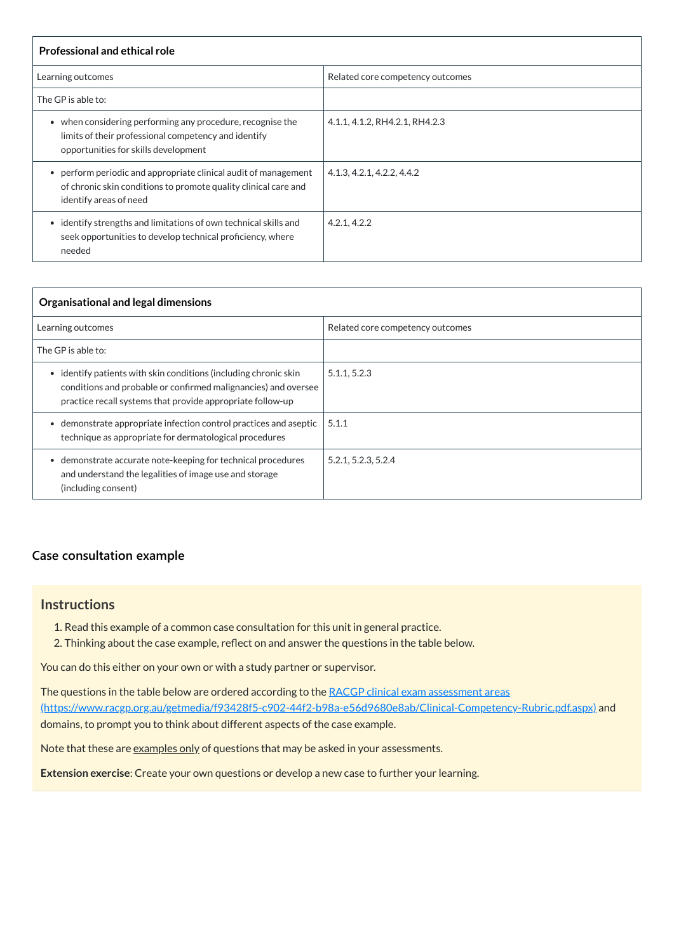| <b>Professional and ethical role</b>                                                                                                                                  |                                  |
|-----------------------------------------------------------------------------------------------------------------------------------------------------------------------|----------------------------------|
| Learning outcomes                                                                                                                                                     | Related core competency outcomes |
| The GP is able to:                                                                                                                                                    |                                  |
| when considering performing any procedure, recognise the<br>$\bullet$<br>limits of their professional competency and identify<br>opportunities for skills development | 4.1.1, 4.1.2, RH4.2.1, RH4.2.3   |
| • perform periodic and appropriate clinical audit of management<br>of chronic skin conditions to promote quality clinical care and<br>identify areas of need          | 4.1.3, 4.2.1, 4.2.2, 4.4.2       |
| identify strengths and limitations of own technical skills and<br>$\bullet$<br>seek opportunities to develop technical proficiency, where<br>needed                   | 4.2.1, 4.2.2                     |

The questions in the table below are ordered according to the RACGP clinical exam assessment areas [\(https://www.racgp.org.au/getmedia/f93428f5-c902-44f2-b98a-e56d9680e8ab/Clinical-Competency-Rubric.pdf.aspx\)](https://www.racgp.org.au/getmedia/f93428f5-c902-44f2-b98a-e56d9680e8ab/Clinical-Competency-Rubric.pdf.aspx) and

| Organisational and legal dimensions                                                                                                                                                                 |                                  |  |
|-----------------------------------------------------------------------------------------------------------------------------------------------------------------------------------------------------|----------------------------------|--|
| Learning outcomes                                                                                                                                                                                   | Related core competency outcomes |  |
| The GP is able to:                                                                                                                                                                                  |                                  |  |
| identify patients with skin conditions (including chronic skin<br>٠<br>conditions and probable or confirmed malignancies) and oversee<br>practice recall systems that provide appropriate follow-up | 5.1.1, 5.2.3                     |  |
| demonstrate appropriate infection control practices and aseptic<br>$\bullet$<br>technique as appropriate for dermatological procedures                                                              | 5.1.1                            |  |
| demonstrate accurate note-keeping for technical procedures<br>$\bullet$<br>and understand the legalities of image use and storage<br>(including consent)                                            | 5.2.1, 5.2.3, 5.2.4              |  |

### **[Case consultation example](javascript:void(0))**

### **Instructions**

- 1. Read this example of a common case consultation for this unit in general practice.
- 2. Thinking about the case example, reflect on and answer the questions in the table below.

You can do this either on your own or with a study partner or supervisor.

domains, to prompt you to think about different aspects of the case example.

Note that these are examples only of questions that may be asked in your assessments.

**Extension exercise**: Create your own questions or develop a new case to further your learning.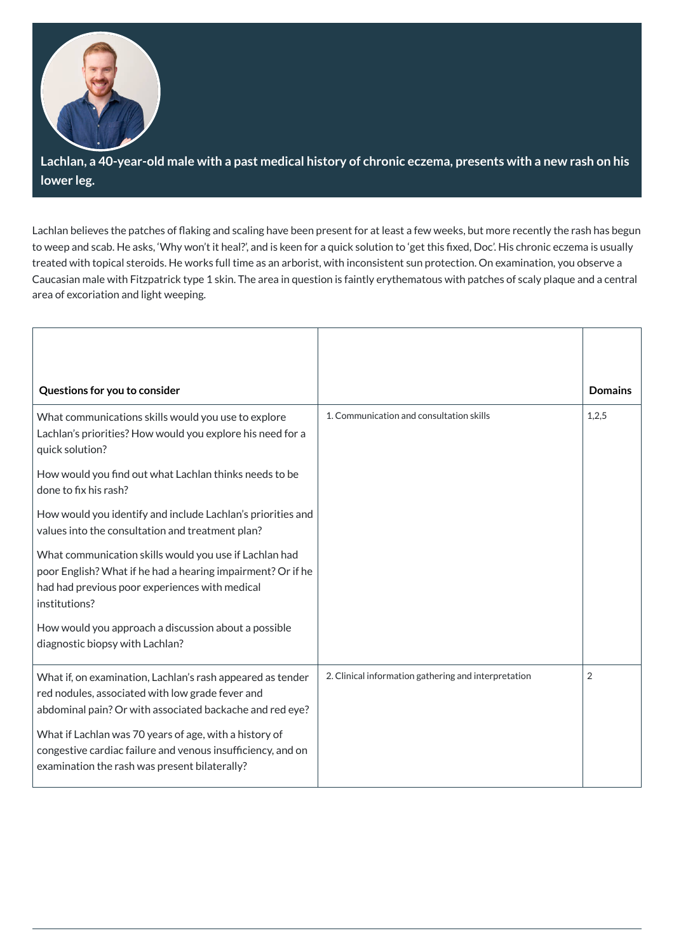

Lachlan, a 40-year-old male with a past medical history of chronic eczema, presents with a new rash on his **lower leg.**

Lachlan believes the patches of flaking and scaling have been present for at least a few weeks, but more recently the rash has begun to weep and scab. He asks, 'Why won't it heal?', and is keen for a quick solution to 'get this fixed, Doc'. His chronic eczema is usually treated with topical steroids. He works full time as an arborist, with inconsistent sun protection. On examination, you observe a Caucasian male with Fitzpatrick type 1 skin. The area in question is faintly erythematous with patches of scaly plaque and a central area of excoriation and light weeping.

| Questions for you to consider                                                                                                                                                            |                                                      | <b>Domains</b> |
|------------------------------------------------------------------------------------------------------------------------------------------------------------------------------------------|------------------------------------------------------|----------------|
| What communications skills would you use to explore<br>Lachlan's priorities? How would you explore his need for a<br>quick solution?                                                     | 1. Communication and consultation skills             | 1,2,5          |
| How would you find out what Lachlan thinks needs to be<br>done to fix his rash?                                                                                                          |                                                      |                |
| How would you identify and include Lachlan's priorities and<br>values into the consultation and treatment plan?                                                                          |                                                      |                |
| What communication skills would you use if Lachlan had<br>poor English? What if he had a hearing impairment? Or if he<br>had had previous poor experiences with medical<br>institutions? |                                                      |                |
| How would you approach a discussion about a possible<br>diagnostic biopsy with Lachlan?                                                                                                  |                                                      |                |
| What if, on examination, Lachlan's rash appeared as tender<br>red nodules, associated with low grade fever and<br>abdominal pain? Or with associated backache and red eye?               | 2. Clinical information gathering and interpretation | $\overline{2}$ |

| What if Lachlan was 70 years of age, with a history of              |  |
|---------------------------------------------------------------------|--|
| $\vert$ congestive cardiac failure and venous insufficiency, and on |  |
| $\vert$ examination the rash was present bilaterally?               |  |
|                                                                     |  |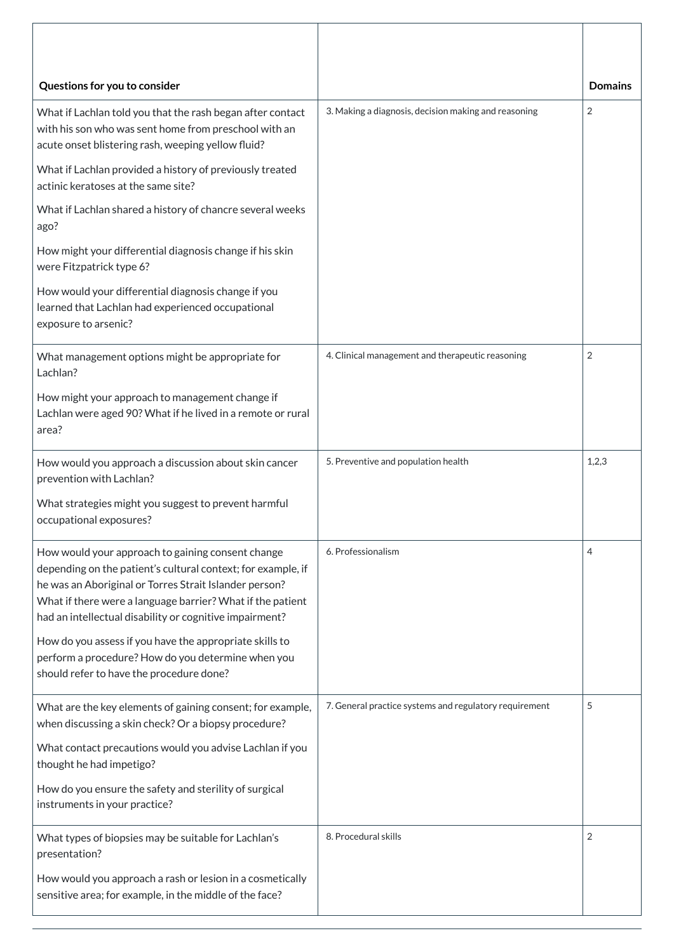| Questions for you to consider                                                                                                                                                                                                                                                                        |                                                        | <b>Domains</b> |
|------------------------------------------------------------------------------------------------------------------------------------------------------------------------------------------------------------------------------------------------------------------------------------------------------|--------------------------------------------------------|----------------|
| What if Lachlan told you that the rash began after contact<br>with his son who was sent home from preschool with an<br>acute onset blistering rash, weeping yellow fluid?                                                                                                                            | 3. Making a diagnosis, decision making and reasoning   | $\overline{2}$ |
| What if Lachlan provided a history of previously treated<br>actinic keratoses at the same site?                                                                                                                                                                                                      |                                                        |                |
| What if Lachlan shared a history of chancre several weeks<br>ago?                                                                                                                                                                                                                                    |                                                        |                |
| How might your differential diagnosis change if his skin<br>were Fitzpatrick type 6?                                                                                                                                                                                                                 |                                                        |                |
| How would your differential diagnosis change if you<br>learned that Lachlan had experienced occupational<br>exposure to arsenic?                                                                                                                                                                     |                                                        |                |
| What management options might be appropriate for<br>Lachlan?                                                                                                                                                                                                                                         | 4. Clinical management and therapeutic reasoning       | $\overline{2}$ |
| How might your approach to management change if<br>Lachlan were aged 90? What if he lived in a remote or rural<br>area?                                                                                                                                                                              |                                                        |                |
| How would you approach a discussion about skin cancer<br>prevention with Lachlan?                                                                                                                                                                                                                    | 5. Preventive and population health                    | 1,2,3          |
| What strategies might you suggest to prevent harmful<br>occupational exposures?                                                                                                                                                                                                                      |                                                        |                |
| How would your approach to gaining consent change<br>depending on the patient's cultural context; for example, if<br>he was an Aboriginal or Torres Strait Islander person?<br>What if there were a language barrier? What if the patient<br>had an intellectual disability or cognitive impairment? | 6. Professionalism                                     | 4              |
| How do you assess if you have the appropriate skills to<br>perform a procedure? How do you determine when you<br>should refer to have the procedure done?                                                                                                                                            |                                                        |                |
| What are the key elements of gaining consent; for example,<br>when discussing a skin check? Or a biopsy procedure?                                                                                                                                                                                   | 7. General practice systems and regulatory requirement | 5              |
| What contact precautions would you advise Lachlan if you<br>thought he had impetigo?                                                                                                                                                                                                                 |                                                        |                |
| How do you ensure the safety and sterility of surgical<br>instruments in your practice?                                                                                                                                                                                                              |                                                        |                |
| What types of biopsies may be suitable for Lachlan's<br>presentation?                                                                                                                                                                                                                                | 8. Procedural skills                                   | $\overline{2}$ |
| How would you approach a rash or lesion in a cosmetically<br>sensitive area; for example, in the middle of the face?                                                                                                                                                                                 |                                                        |                |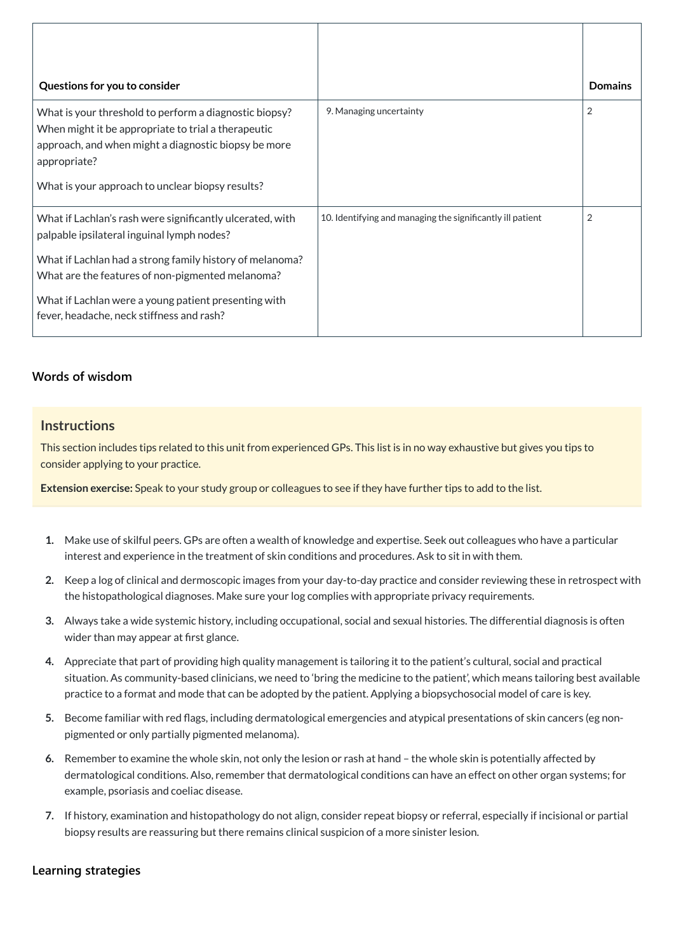| Questions for you to consider                                                                                                                                                                                                                                                                                                |                                                            | <b>Domains</b> |
|------------------------------------------------------------------------------------------------------------------------------------------------------------------------------------------------------------------------------------------------------------------------------------------------------------------------------|------------------------------------------------------------|----------------|
| What is your threshold to perform a diagnostic biopsy?<br>When might it be appropriate to trial a therapeutic<br>approach, and when might a diagnostic biopsy be more<br>appropriate?<br>What is your approach to unclear biopsy results?                                                                                    | 9. Managing uncertainty                                    | $\overline{2}$ |
| What if Lachlan's rash were significantly ulcerated, with<br>palpable ipsilateral inguinal lymph nodes?<br>What if Lachlan had a strong family history of melanoma?<br>What are the features of non-pigmented melanoma?<br>What if Lachlan were a young patient presenting with<br>fever, headache, neck stiffness and rash? | 10. Identifying and managing the significantly ill patient | 2              |

### **[Words of wisdom](javascript:void(0))**

### **Instructions**

This section includes tips related to this unit from experienced GPs. This list is in no way exhaustive but gives you tips to consider applying to your practice.

**Extension exercise:** Speak to your study group or colleagues to see if they have further tips to add to the list.

- **1.** Make use of skilful peers. GPs are often a wealth of knowledge and expertise. Seek out colleagues who have a particular interest and experience in the treatment of skin conditions and procedures. Ask to sit in with them.
- **2.** Keep a log of clinical and dermoscopic images from your day-to-day practice and consider reviewing these in retrospect with the histopathological diagnoses. Make sure your log complies with appropriate privacy requirements.
- **3.** Always take a wide systemic history, including occupational, social and sexual histories. The differential diagnosis is often wider than may appear at first glance.
- **4.** Appreciate that part of providing high quality management is tailoring it to the patient's cultural, social and practical situation. As community-based clinicians, we need to 'bring the medicine to the patient', which means tailoring best available practice to a format and mode that can be adopted by the patient. Applying a biopsychosocial model of care is key.

- **5.** Become familiar with red flags, including dermatological emergencies and atypical presentations of skin cancers (eg nonpigmented or only partially pigmented melanoma).
- **6.** Remember to examine the whole skin, not only the lesion or rash at hand the whole skin is potentially affected by dermatological conditions. Also, remember that dermatological conditions can have an effect on other organ systems; for example, psoriasis and coeliac disease.
- **7.** If history, examination and histopathology do not align, consider repeat biopsy or referral, especially if incisional or partial biopsy results are reassuring but there remains clinical suspicion of a more sinister lesion.

**[Learning strategies](javascript:void(0))**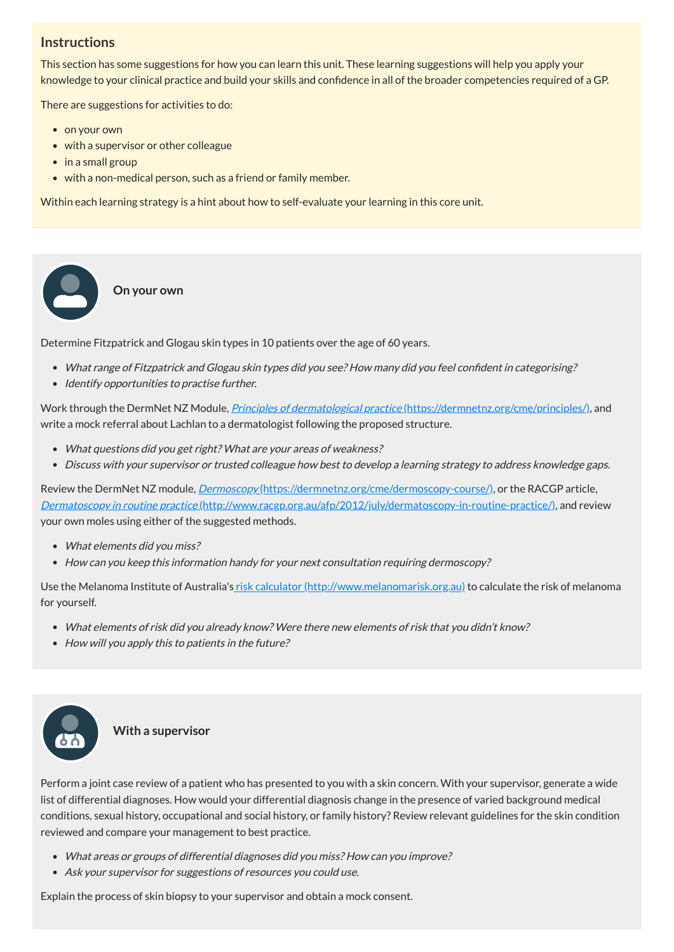# **Instructions**

This section has some suggestions for how you can learn this unit. These learning suggestions will help you apply your knowledge to your clinical practice and build your skills and confidence in all of the broader competencies required of a GP.

There are suggestions for activities to do:

• on your own

 $\bullet$ 

- with a supervisor or other colleague
- in a small group
- with a non-medical person, such as a friend or family member.

- What range of Fitzpatrick and Glogau skin types did you see? How many did you feel confident in categorising?
- Identify opportunities to practise further.

Within each learning strategy is a hint about how to self-evaluate your learning in this core unit.

**On your own**

Determine Fitzpatrick and Glogau skin types in 10 patients over the age of 60 years.

Use the Melanoma Institute of Australia's risk calculator [\(http://www.melanomarisk.org.au\)](http://www.melanomarisk.org.au/) to calculate the risk of melanoma for yourself.

- What elements of risk did you already know? Were there new elements of risk that you didn't know?
- How will you apply this to patients in the future?





Work through the DermNet NZ Module, Principles of dermatological practice [\(https://dermnetnz.org/cme/principles/\)](https://dermnetnz.org/cme/principles/), and write a mock referral about Lachlan to a dermatologist following the proposed structure.

- What questions did you get right? What are your areas of weakness?
- Discuss with your supervisor or trusted colleague how best to develop <sup>a</sup> learning strategy to address knowledge gaps.

Review the DermNet NZ module, *Dermoscopy* [\(https://dermnetnz.org/cme/dermoscopy-course/\),](https://dermnetnz.org/cme/dermoscopy-course/) or the RACGP article, Dermatoscopy in routine practice [\(http://www.racgp.org.au/afp/2012/july/dermatoscopy-in-routine-practice/\)](http://www.racgp.org.au/afp/2012/july/dermatoscopy-in-routine-practice/), and review your own moles using either of the suggested methods. **Example 18**<br> **Example 18**<br> **Example 18**<br> **Example 18**<br> **Example 18**<br> **Example 18**<br> **Example 18**<br> **Example 18**<br> **Example 18**<br> **Example 18**<br> **Example 18**<br> **Example 18**<br> **Example 18**<br> **Example 18**<br> **Example 18**<br> **Example 18** 

- What elements did you miss?
- How can you keep this information handy for your next consultation requiring dermoscopy?

#### **With a supervisor**

Perform a joint case review of a patient who has presented to you with a skin concern. With your supervisor, generate a wide list of differential diagnoses. How would your differential diagnosis change in the presence of varied background medical conditions, sexual history, occupational and social history, or family history? Review relevant guidelines for the skin condition reviewed and compare your management to best practice.

- What areas or groups of differential diagnoses did you miss? How can you improve?
- Ask your supervisor for suggestions of resources you could use.

Explain the process of skin biopsy to your supervisor and obtain a mock consent.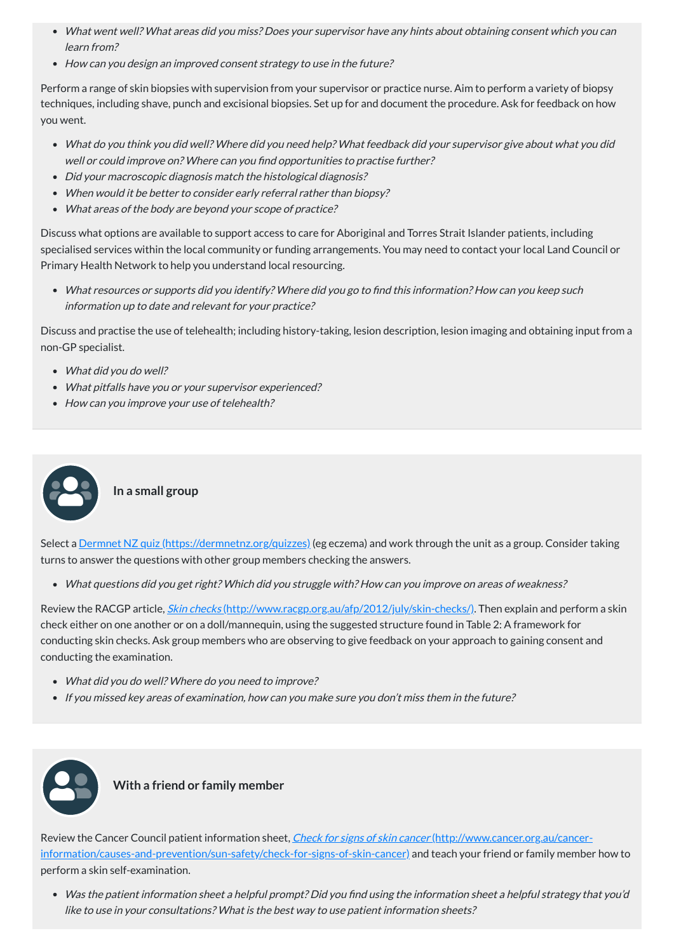- What do you think you did well? Where did you need help? What feedback did your supervisor give about what you did well or could improve on? Where can you find opportunities to practise further?
- Did your macroscopic diagnosis match the histological diagnosis?
- When would it be better to consider early referral rather than biopsy?
- What areas of the body are beyond your scope of practice?
- What went well? What areas did you miss? Does your supervisor have any hints about obtaining consent which you can learn from?
- How can you design an improved consent strategy to use in the future?

Perform a range of skin biopsies with supervision from your supervisor or practice nurse. Aim to perform a variety of biopsy techniques, including shave, punch and excisional biopsies. Set up for and document the procedure. Ask for feedback on how you went.

Select a <u>Dermnet NZ quiz [\(https://dermnetnz.org/quizzes\)](https://dermnetnz.org/quizzes)</u> (eg eczema) and work through the unit as a group. Consider taking turns to answer the questions with other group members checking the answers.

Discuss what options are available to support access to care for Aboriginal and Torres Strait Islander patients, including specialised services within the local community or funding arrangements. You may need to contact your local Land Council or Primary Health Network to help you understand local resourcing.

Review the RACGP article, *Skin checks* [\(http://www.racgp.org.au/afp/2012/july/skin-checks/\)](http://www.racgp.org.au/afp/2012/july/skin-checks/). Then explain and perform a skin check either on one another or on a doll/mannequin, using the suggested structure found in Table 2: A framework for conducting skin checks. Ask group members who are observing to give feedback on your approach to gaining consent and conducting the examination.

- What did you do well? Where do you need to improve?
- If you missed key areas of examination, how can you make sure you don't miss them in the future?



What resources or supports did you identify? Where did you go to find this information? How can you keep such information up to date and relevant for your practice?

Review the Cancer Council patient information sheet, *Check for signs of skin cancer* (http://www.cancer.org.au/cancer[information/causes-and-prevention/sun-safety/check-for-signs-of-skin-cancer\)](http://www.cancer.org.au/cancer-information/causes-and-prevention/sun-safety/check-for-signs-of-skin-cancer) and teach your friend or family member how to perform a skin self-examination.

Discuss and practise the use of telehealth; including history-taking, lesion description, lesion imaging and obtaining input from a non-GP specialist.

- What did you do well?
- What pitfalls have you or your supervisor experienced?
- How can you improve your use of telehealth?

**In a small group**

What questions did you get right? Which did you struggle with? How can you improve on areas of weakness?

### **With a friend or family member**

Was the patient information sheet <sup>a</sup> helpful prompt? Did you find using the information sheet <sup>a</sup> helpful strategy that you'd like to use in your consultations? What is the best way to use patient information sheets?

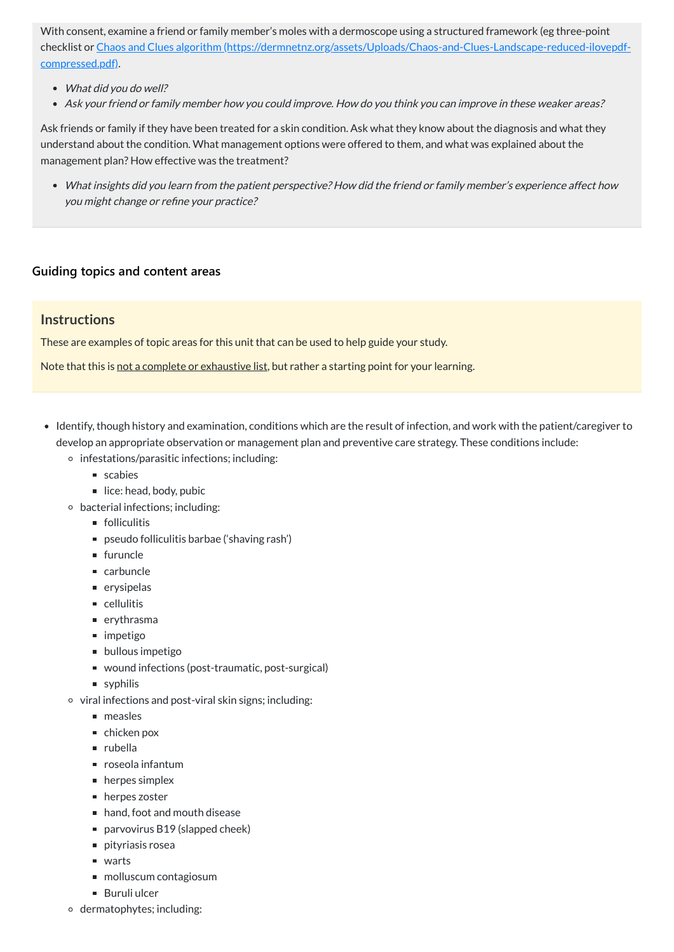With consent, examine a friend or family member's moles with a dermoscope using a structured framework (eg three-point checklist or Chaos and Clues algorithm [\(https://dermnetnz.org/assets/Uploads/Chaos-and-Clues-Landscape-reduced-ilovepdf](https://dermnetnz.org/assets/Uploads/Chaos-and-Clues-Landscape-reduced-ilovepdf-compressed.pdf)compressed.pdf).

- What did you do well?
- Ask your friend or family member how you could improve. How do you think you can improve in these weaker areas?

Ask friends or family if they have been treated for a skin condition. Ask what they know about the diagnosis and what they understand about the condition. What management options were offered to them, and what was explained about the management plan? How effective was the treatment?

What insights did you learn from the patient perspective? How did the friend or family member's experience affect how you might change or refine your practice?

### **[Guiding topics and content areas](javascript:void(0))**

### **Instructions**

These are examples of topic areas for this unit that can be used to help guide your study.

Note that this is not a complete or exhaustive list, but rather a starting point for your learning.

- Identify, though history and examination, conditions which are the result of infection, and work with the patient/caregiver to develop an appropriate observation or management plan and preventive care strategy. These conditions include:
	- $\circ$  infestations/parasitic infections; including:
		- scabies
		- $\blacksquare$  lice: head, body, pubic
	- bacterial infections; including:
		- **folliculitis**
		- pseudo folliculitis barbae ('shaving rash')
		- $\blacksquare$  furuncle
		- carbuncle
		- erysipelas
		- cellulitis
		- erythrasma
		- impetigo
		- **bullous impetigo**
		- wound infections (post-traumatic, post-surgical)
		- syphilis
	- $\circ$  viral infections and post-viral skin signs; including:
		- neasles
			-
		- chicken pox
		- rubella
		- roseola infantum
		- **herpes simplex**
		- **herpes zoster**
		- hand, foot and mouth disease
		- parvovirus B19 (slapped cheek)
		- pityriasis rosea
		- warts
		- molluscum contagiosum
		- Buruli ulcer
	- dermatophytes; including: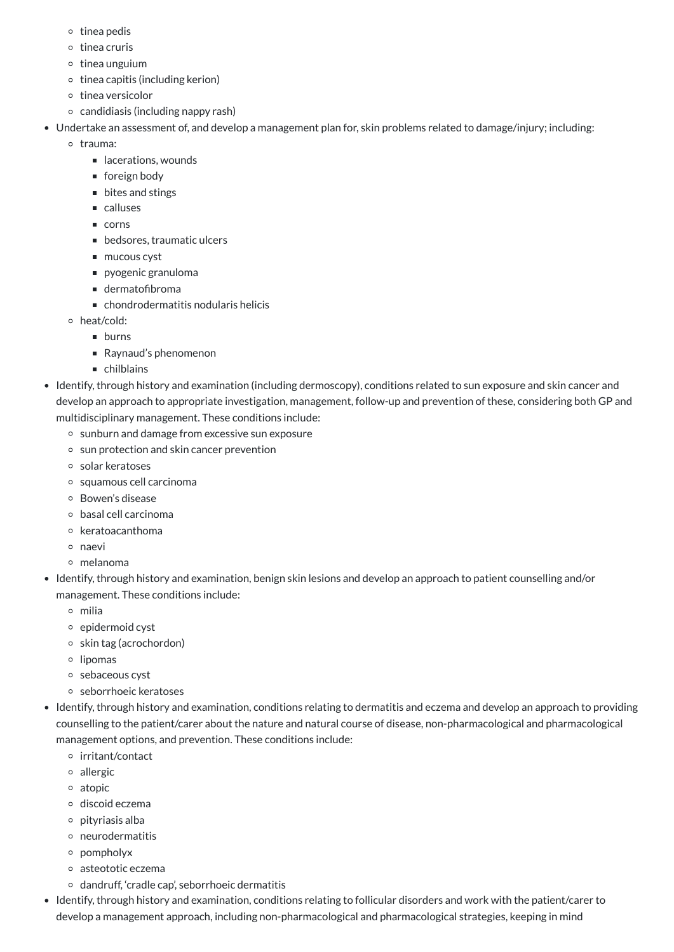- $\circ$  tinea pedis
- $\circ$  tinea cruris
- $\circ$  tinea unguium
- $\circ$  tinea capitis (including kerion)
- o tinea versicolor
- $\circ$  candidiasis (including nappy rash)
- Undertake an assessment of, and develop a management plan for, skin problems related to damage/injury; including:
	- o trauma:
		- lacerations, wounds
		- foreign body
		- bites and stings
		- calluses
		- corns
		- bedsores, traumatic ulcers
		- mucous cyst
		- **pyogenic granuloma**
		- dermatofibroma
		- chondrodermatitis nodularis helicis
	- heat/cold:
		- **burns**
		- Raynaud's phenomenon
		- chilblains
- Identify, through history and examination (including dermoscopy), conditions related to sun exposure and skin cancer and develop an approach to appropriate investigation, management, follow-up and prevention of these, considering both GP and multidisciplinary management. These conditions include:
	- o sunburn and damage from excessive sun exposure
	- sun protection and skin cancer prevention
	- solar keratoses
	- squamous cell carcinoma
	- Bowen's disease
	- basal cell carcinoma
	- o keratoacanthoma
	- naevi
	- melanoma
- Identify, through history and examination, benign skin lesions and develop an approach to patient counselling and/or management. These conditions include:
	- milia
	- $\circ$  epidermoid cyst
	- $\circ$  skin tag (acrochordon)
	- o lipomas
	- o sebaceous cyst
	- seborrhoeic keratoses
- Identify, through history and examination, conditions relating to dermatitis and eczema and develop an approach to providing

counselling to the patient/carer about the nature and natural course of disease, non-pharmacological and pharmacological management options, and prevention. These conditions include:

- irritant/contact
- allergic
- atopic
- discoid eczema
- $\circ$  pityriasis alba
- neurodermatitis
- pompholyx
- asteototic eczema
- $\circ$  dandruff, 'cradle cap', seborrhoeic dermatitis
- Identify, through history and examination, conditions relating to follicular disorders and work with the patient/carer to develop a management approach, including non-pharmacological and pharmacological strategies, keeping in mind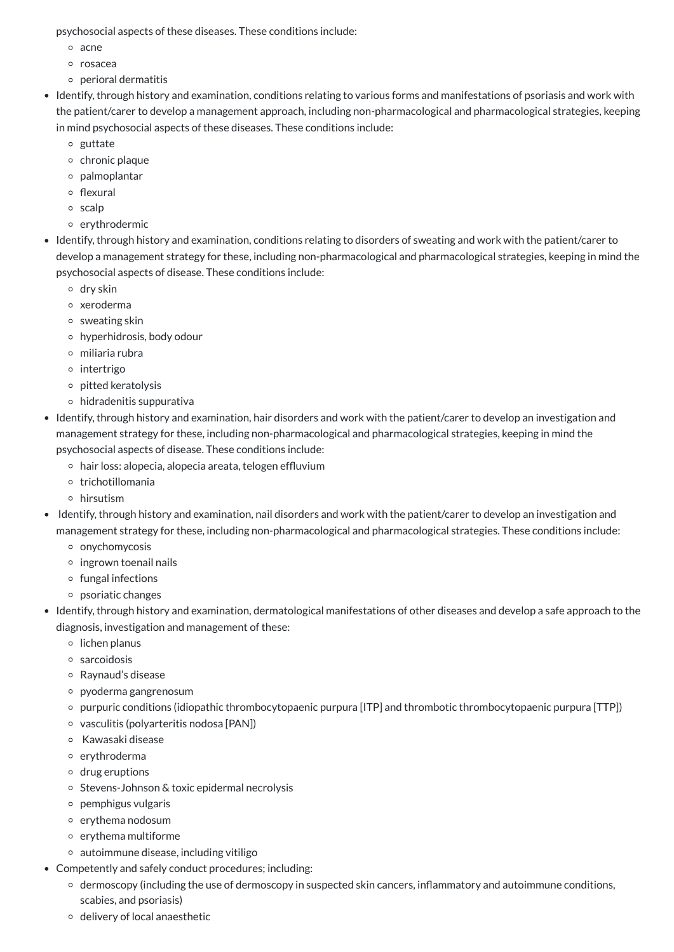psychosocial aspects of these diseases. These conditions include:

- o acne
- rosacea
- $\circ$  perioral dermatitis
- Identify, through history and examination, conditions relating to various forms and manifestations of psoriasis and work with the patient/carer to develop a management approach, including non-pharmacological and pharmacological strategies, keeping in mind psychosocial aspects of these diseases. These conditions include:
	- o guttate
	- o chronic plaque
	- palmoplantar
	- $\circ$  flexural
	- scalp
	- o erythrodermic
- Identify, through history and examination, conditions relating to disorders of sweating and work with the patient/carer to develop a management strategy for these, including non-pharmacological and pharmacological strategies, keeping in mind the psychosocial aspects of disease. These conditions include:
	- dry skin
	- xeroderma
	- $\circ$  sweating skin
	- hyperhidrosis, body odour
	- miliaria rubra
	- o intertrigo
	- pitted keratolysis
	- hidradenitis suppurativa
- Identify, through history and examination, hair disorders and work with the patient/carer to develop an investigation and management strategy for these, including non-pharmacological and pharmacological strategies, keeping in mind the psychosocial aspects of disease. These conditions include:
	- hair loss: alopecia, alopecia areata, telogen effluvium
	- o trichotillomania
	- hirsutism
- Identify, through history and examination, nail disorders and work with the patient/carer to develop an investigation and management strategy for these, including non-pharmacological and pharmacological strategies. These conditions include:
	- <sup>o</sup> onychomycosis
	- $\circ$  ingrown toenail nails
	- $\circ$  fungal infections
	- psoriatic changes
- Identify, through history and examination, dermatological manifestations of other diseases and develop a safe approach to the diagnosis, investigation and management of these:
	- $\circ$  lichen planus
	- sarcoidosis
	- Raynaud's disease
	- pyoderma gangrenosum
	- purpuric conditions (idiopathic thrombocytopaenic purpura [ITP] and thrombotic thrombocytopaenic purpura [TTP])
	- vasculitis (polyarteritis nodosa [PAN])
	- Kawasaki disease
	- o erythroderma
	- drug eruptions
	- o Stevens-Johnson & toxic epidermal necrolysis
	- pemphigus vulgaris
	- o erythema nodosum
	- erythema multiforme
	- autoimmune disease, including vitiligo
- Competently and safely conduct procedures; including:
	- dermoscopy (including the use of dermoscopy in suspected skin cancers, inflammatory and autoimmune conditions, scabies, and psoriasis)
	- o delivery of local anaesthetic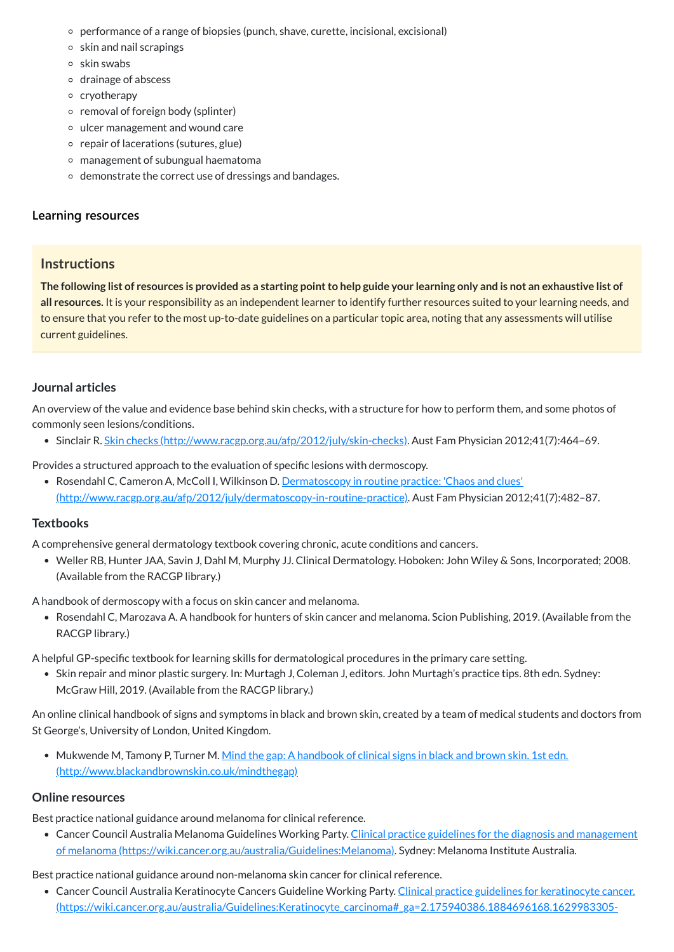- performance of a range of biopsies (punch, shave, curette, incisional, excisional)
- $\circ$  skin and nail scrapings
- $\circ$  skin swabs
- drainage of abscess
- <sup>o</sup> cryotherapy
- $\circ$  removal of foreign body (splinter)
- ulcer management and wound care
- $\circ$  repair of lacerations (sutures, glue)
- management of subungual haematoma
- demonstrate the correct use of dressings and bandages.

# **[Learning resources](javascript:void(0))**

# **Instructions**

The following list of resources is provided as a starting point to help guide your learning only and is not an exhaustive list of **all resources.** It is your responsibility as an independent learner to identify further resources suited to your learning needs, and to ensure that you refer to the most up-to-date guidelines on a particular topic area, noting that any assessments will utilise current guidelines.

• Rosendahl C, Cameron A, McColl I, Wilkinson D. Dermatoscopy in routine practice: 'Chaos and clues' [\(http://www.racgp.org.au/afp/2012/july/dermatoscopy-in-routine-practice\).](http://www.racgp.org.au/afp/2012/july/dermatoscopy-in-routine-practice) Aust Fam Physician 2012;41(7):482–87.

# **Journal articles**

An overview of the value and evidence base behind skin checks, with a structure for how to perform them, and some photos of commonly seen lesions/conditions.

Sinclair R. Skin checks [\(http://www.racgp.org.au/afp/2012/july/skin-checks\)](http://www.racgp.org.au/afp/2012/july/skin-checks). Aust Fam Physician 2012;41(7):464–69.

• Skin repair and minor plastic surgery. In: Murtagh J, Coleman J, editors. John Murtagh's practice tips. 8th edn. Sydney: McGraw Hill, 2019. (Available from the RACGP library.)

Provides a structured approach to the evaluation of specific lesions with dermoscopy.

• Mukwende M, Tamony P, Turner M. Mind the gap: A handbook of clinical signs in black and brown skin. 1st edn. [\(http://www.blackandbrownskin.co.uk/mindthegap\)](http://www.blackandbrownskin.co.uk/mindthegap)

# **Textbooks**

• Cancer Council Australia Melanoma Guidelines Working Party. Clinical practice guidelines for the diagnosis and management of melanoma [\(https://wiki.cancer.org.au/australia/Guidelines:Melanoma\).](https://wiki.cancer.org.au/australia/Guidelines:Melanoma) Sydney: Melanoma Institute Australia.

A comprehensive general dermatology textbook covering chronic, acute conditions and cancers.

• Cancer Council Australia Keratinocyte Cancers Guideline Working Party. Clinical practice guidelines for keratinocyte cancer. [\(https://wiki.cancer.org.au/australia/Guidelines:Keratinocyte\\_carcinoma#\\_ga=2.175940386.1884696168.1629983305-](https://wiki.cancer.org.au/australia/Guidelines:Keratinocyte_carcinoma#_ga=2.175940386.1884696168.1629983305-237136010.1629983305)

Weller RB, Hunter JAA, Savin J, Dahl M, Murphy JJ. Clinical Dermatology. Hoboken: John Wiley & Sons, Incorporated; 2008. (Available from the RACGP library.)

A handbook of dermoscopy with a focus on skin cancer and melanoma.

Rosendahl C, Marozava A. A handbook for hunters of skin cancer and melanoma. Scion Publishing, 2019. (Available from the RACGP library.)

A helpful GP-specific textbook for learning skills for dermatological procedures in the primary care setting.

An online clinical handbook of signs and symptoms in black and brown skin, created by a team of medical students and doctors from

St George's, University of London, United Kingdom.

### **Online resources**

Best practice national guidance around melanoma for clinical reference.

Best practice national guidance around non-melanoma skin cancer for clinical reference.